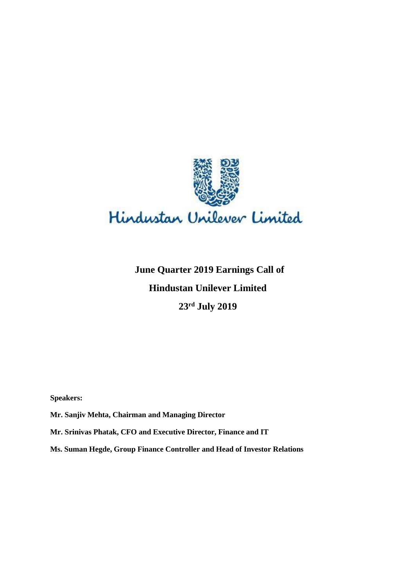

# **June Quarter 2019 Earnings Call of Hindustan Unilever Limited 23 rd July 2019**

**Speakers:** 

**Mr. Sanjiv Mehta, Chairman and Managing Director**

**Mr. Srinivas Phatak, CFO and Executive Director, Finance and IT**

**Ms. Suman Hegde, Group Finance Controller and Head of Investor Relations**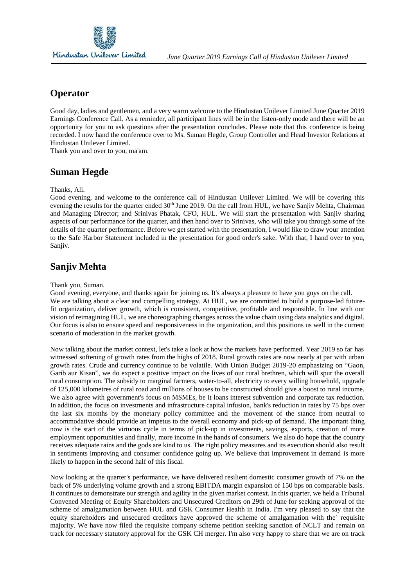

# **Operator**

Good day, ladies and gentlemen, and a very warm welcome to the Hindustan Unilever Limited June Quarter 2019 Earnings Conference Call. As a reminder, all participant lines will be in the listen-only mode and there will be an opportunity for you to ask questions after the presentation concludes. Please note that this conference is being recorded. I now hand the conference over to Ms. Suman Hegde, Group Controller and Head Investor Relations at Hindustan Unilever Limited.

Thank you and over to you, ma'am.

# **Suman Hegde**

#### Thanks, Ali.

Good evening, and welcome to the conference call of Hindustan Unilever Limited. We will be covering this evening the results for the quarter ended  $30<sup>th</sup>$  June 2019. On the call from HUL, we have Sanjiv Mehta, Chairman and Managing Director; and Srinivas Phatak, CFO, HUL. We will start the presentation with Sanjiv sharing aspects of our performance for the quarter, and then hand over to Srinivas, who will take you through some of the details of the quarter performance. Before we get started with the presentation, I would like to draw your attention to the Safe Harbor Statement included in the presentation for good order's sake. With that, I hand over to you, Saniiv.

# **Sanjiv Mehta**

#### Thank you, Suman.

Good evening, everyone, and thanks again for joining us. It's always a pleasure to have you guys on the call. We are talking about a clear and compelling strategy. At HUL, we are committed to build a purpose-led futurefit organization, deliver growth, which is consistent, competitive, profitable and responsible. In line with our vision of reimagining HUL, we are choreographing changes across the value chain using data analytics and digital. Our focus is also to ensure speed and responsiveness in the organization, and this positions us well in the current scenario of moderation in the market growth.

Now talking about the market context, let's take a look at how the markets have performed. Year 2019 so far has witnessed softening of growth rates from the highs of 2018. Rural growth rates are now nearly at par with urban growth rates. Crude and currency continue to be volatile. With Union Budget 2019-20 emphasizing on "Gaon, Garib aur Kisan", we do expect a positive impact on the lives of our rural brethren, which will spur the overall rural consumption. The subsidy to marginal farmers, water-to-all, electricity to every willing household, upgrade of 125,000 kilometres of rural road and millions of houses to be constructed should give a boost to rural income. We also agree with government's focus on MSMEs, be it loans interest subvention and corporate tax reduction. In addition, the focus on investments and infrastructure capital infusion, bank's reduction in rates by 75 bps over the last six months by the monetary policy committee and the movement of the stance from neutral to accommodative should provide an impetus to the overall economy and pick-up of demand. The important thing now is the start of the virtuous cycle in terms of pick-up in investments, savings, exports, creation of more employment opportunities and finally, more income in the hands of consumers. We also do hope that the country receives adequate rains and the gods are kind to us. The right policy measures and its execution should also result in sentiments improving and consumer confidence going up. We believe that improvement in demand is more likely to happen in the second half of this fiscal.

Now looking at the quarter's performance, we have delivered resilient domestic consumer growth of 7% on the back of 5% underlying volume growth and a strong EBITDA margin expansion of 150 bps on comparable basis. It continues to demonstrate our strength and agility in the given market context. In this quarter, we held a Tribunal Convened Meeting of Equity Shareholders and Unsecured Creditors on 29th of June for seeking approval of the scheme of amalgamation between HUL and GSK Consumer Health in India. I'm very pleased to say that the equity shareholders and unsecured creditors have approved the scheme of amalgamation with the` requisite majority. We have now filed the requisite company scheme petition seeking sanction of NCLT and remain on track for necessary statutory approval for the GSK CH merger. I'm also very happy to share that we are on track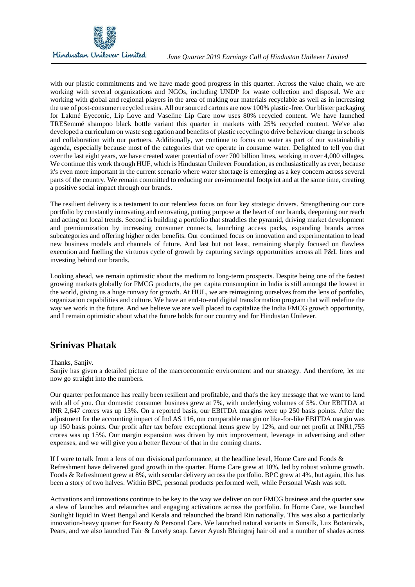

with our plastic commitments and we have made good progress in this quarter. Across the value chain, we are working with several organizations and NGOs, including UNDP for waste collection and disposal. We are working with global and regional players in the area of making our materials recyclable as well as in increasing the use of post-consumer recycled resins. All our sourced cartons are now 100% plastic-free. Our blister packaging for Lakmé Eyeconic, Lip Love and Vaseline Lip Care now uses 80% recycled content. We have launched TRESemmé shampoo black bottle variant this quarter in markets with 25% recycled content. We've also developed a curriculum on waste segregation and benefits of plastic recycling to drive behaviour change in schools and collaboration with our partners. Additionally, we continue to focus on water as part of our sustainability agenda, especially because most of the categories that we operate in consume water. Delighted to tell you that over the last eight years, we have created water potential of over 700 billion litres, working in over 4,000 villages. We continue this work through HUF, which is Hindustan Unilever Foundation, as enthusiastically as ever, because it's even more important in the current scenario where water shortage is emerging as a key concern across several parts of the country. We remain committed to reducing our environmental footprint and at the same time, creating a positive social impact through our brands.

The resilient delivery is a testament to our relentless focus on four key strategic drivers. Strengthening our core portfolio by constantly innovating and renovating, putting purpose at the heart of our brands, deepening our reach and acting on local trends. Second is building a portfolio that straddles the pyramid, driving market development and premiumization by increasing consumer connects, launching access packs, expanding brands across subcategories and offering higher order benefits. Our continued focus on innovation and experimentation to lead new business models and channels of future. And last but not least, remaining sharply focused on flawless execution and fuelling the virtuous cycle of growth by capturing savings opportunities across all P&L lines and investing behind our brands.

Looking ahead, we remain optimistic about the medium to long-term prospects. Despite being one of the fastest growing markets globally for FMCG products, the per capita consumption in India is still amongst the lowest in the world, giving us a huge runway for growth. At HUL, we are reimagining ourselves from the lens of portfolio, organization capabilities and culture. We have an end-to-end digital transformation program that will redefine the way we work in the future. And we believe we are well placed to capitalize the India FMCG growth opportunity, and I remain optimistic about what the future holds for our country and for Hindustan Unilever.

# **Srinivas Phatak**

#### Thanks, Sanjiv.

Sanjiv has given a detailed picture of the macroeconomic environment and our strategy. And therefore, let me now go straight into the numbers.

Our quarter performance has really been resilient and profitable, and that's the key message that we want to land with all of you. Our domestic consumer business grew at 7%, with underlying volumes of 5%. Our EBITDA at INR 2,647 crores was up 13%. On a reported basis, our EBITDA margins were up 250 basis points. After the adjustment for the accounting impact of Ind AS 116, our comparable margin or like-for-like EBITDA margin was up 150 basis points. Our profit after tax before exceptional items grew by 12%, and our net profit at INR1,755 crores was up 15%. Our margin expansion was driven by mix improvement, leverage in advertising and other expenses, and we will give you a better flavour of that in the coming charts.

If I were to talk from a lens of our divisional performance, at the headline level, Home Care and Foods & Refreshment have delivered good growth in the quarter. Home Care grew at 10%, led by robust volume growth. Foods & Refreshment grew at 8%, with secular delivery across the portfolio. BPC grew at 4%, but again, this has been a story of two halves. Within BPC, personal products performed well, while Personal Wash was soft.

Activations and innovations continue to be key to the way we deliver on our FMCG business and the quarter saw a slew of launches and relaunches and engaging activations across the portfolio. In Home Care, we launched Sunlight liquid in West Bengal and Kerala and relaunched the brand Rin nationally. This was also a particularly innovation-heavy quarter for Beauty & Personal Care. We launched natural variants in Sunsilk, Lux Botanicals, Pears, and we also launched Fair & Lovely soap. Lever Ayush Bhringraj hair oil and a number of shades across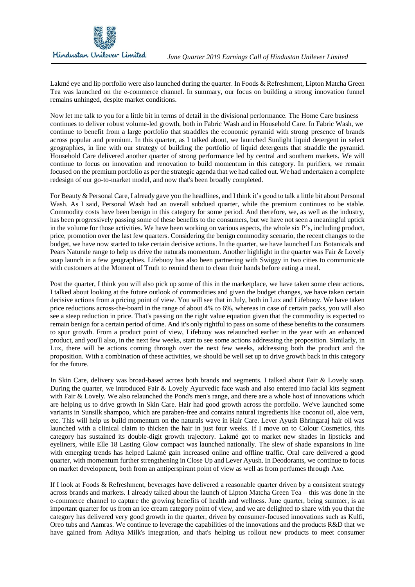Lakmé eye and lip portfolio were also launched during the quarter. In Foods & Refreshment, Lipton Matcha Green Tea was launched on the e-commerce channel. In summary, our focus on building a strong innovation funnel remains unhinged, despite market conditions.

Now let me talk to you for a little bit in terms of detail in the divisional performance. The Home Care business continues to deliver robust volume-led growth, both in Fabric Wash and in Household Care. In Fabric Wash, we continue to benefit from a large portfolio that straddles the economic pyramid with strong presence of brands across popular and premium. In this quarter, as I talked about, we launched Sunlight liquid detergent in select geographies, in line with our strategy of building the portfolio of liquid detergents that straddle the pyramid. Household Care delivered another quarter of strong performance led by central and southern markets. We will continue to focus on innovation and renovation to build momentum in this category. In purifiers, we remain focused on the premium portfolio as per the strategic agenda that we had called out. We had undertaken a complete redesign of our go-to-market model, and now that's been broadly completed.

For Beauty & Personal Care, I already gave you the headlines, and I think it's good to talk a little bit about Personal Wash. As I said, Personal Wash had an overall subdued quarter, while the premium continues to be stable. Commodity costs have been benign in this category for some period. And therefore, we, as well as the industry, has been progressively passing some of these benefits to the consumers, but we have not seen a meaningful uptick in the volume for those activities. We have been working on various aspects, the whole six P's, including product, price, promotion over the last few quarters. Considering the benign commodity scenario, the recent changes to the budget, we have now started to take certain decisive actions. In the quarter, we have launched Lux Botanicals and Pears Naturale range to help us drive the naturals momentum. Another highlight in the quarter was Fair & Lovely soap launch in a few geographies. Lifebuoy has also been partnering with Swiggy in two cities to communicate with customers at the Moment of Truth to remind them to clean their hands before eating a meal.

Post the quarter, I think you will also pick up some of this in the marketplace, we have taken some clear actions. I talked about looking at the future outlook of commodities and given the budget changes, we have taken certain decisive actions from a pricing point of view. You will see that in July, both in Lux and Lifebuoy. We have taken price reductions across-the-board in the range of about 4% to 6%, whereas in case of certain packs, you will also see a steep reduction in price. That's passing on the right value equation given that the commodity is expected to remain benign for a certain period of time. And it's only rightful to pass on some of these benefits to the consumers to spur growth. From a product point of view, Lifebuoy was relaunched earlier in the year with an enhanced product, and you'll also, in the next few weeks, start to see some actions addressing the proposition. Similarly, in Lux, there will be actions coming through over the next few weeks, addressing both the product and the proposition. With a combination of these activities, we should be well set up to drive growth back in this category for the future.

In Skin Care, delivery was broad-based across both brands and segments. I talked about Fair & Lovely soap. During the quarter, we introduced Fair & Lovely Ayurvedic face wash and also entered into facial kits segment with Fair & Lovely. We also relaunched the Pond's men's range, and there are a whole host of innovations which are helping us to drive growth in Skin Care. Hair had good growth across the portfolio. We've launched some variants in Sunsilk shampoo, which are paraben-free and contains natural ingredients like coconut oil, aloe vera, etc. This will help us build momentum on the naturals wave in Hair Care. Lever Ayush Bhringaraj hair oil was launched with a clinical claim to thicken the hair in just four weeks. If I move on to Colour Cosmetics, this category has sustained its double-digit growth trajectory. Lakmé got to market new shades in lipsticks and eyeliners, while Elle 18 Lasting Glow compact was launched nationally. The slew of shade expansions in line with emerging trends has helped Lakmé gain increased online and offline traffic. Oral care delivered a good quarter, with momentum further strengthening in Close Up and Lever Ayush. In Deodorants, we continue to focus on market development, both from an antiperspirant point of view as well as from perfumes through Axe.

If I look at Foods & Refreshment, beverages have delivered a reasonable quarter driven by a consistent strategy across brands and markets. I already talked about the launch of Lipton Matcha Green Tea – this was done in the e-commerce channel to capture the growing benefits of health and wellness. June quarter, being summer, is an important quarter for us from an ice cream category point of view, and we are delighted to share with you that the category has delivered very good growth in the quarter, driven by consumer-focused innovations such as Kulfi, Oreo tubs and Aamras. We continue to leverage the capabilities of the innovations and the products R&D that we have gained from Aditya Milk's integration, and that's helping us rollout new products to meet consumer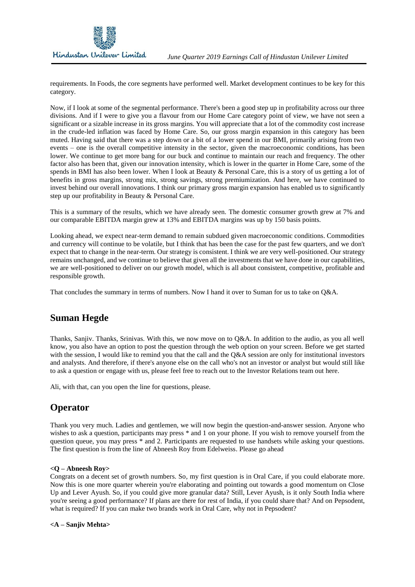

requirements. In Foods, the core segments have performed well. Market development continues to be key for this category.

Now, if I look at some of the segmental performance. There's been a good step up in profitability across our three divisions. And if I were to give you a flavour from our Home Care category point of view, we have not seen a significant or a sizable increase in its gross margins. You will appreciate that a lot of the commodity cost increase in the crude-led inflation was faced by Home Care. So, our gross margin expansion in this category has been muted. Having said that there was a step down or a bit of a lower spend in our BMI, primarily arising from two events – one is the overall competitive intensity in the sector, given the macroeconomic conditions, has been lower. We continue to get more bang for our buck and continue to maintain our reach and frequency. The other factor also has been that, given our innovation intensity, which is lower in the quarter in Home Care, some of the spends in BMI has also been lower. When I look at Beauty & Personal Care, this is a story of us getting a lot of benefits in gross margins, strong mix, strong savings, strong premiumization. And here, we have continued to invest behind our overall innovations. I think our primary gross margin expansion has enabled us to significantly step up our profitability in Beauty & Personal Care.

This is a summary of the results, which we have already seen. The domestic consumer growth grew at 7% and our comparable EBITDA margin grew at 13% and EBITDA margins was up by 150 basis points.

Looking ahead, we expect near-term demand to remain subdued given macroeconomic conditions. Commodities and currency will continue to be volatile, but I think that has been the case for the past few quarters, and we don't expect that to change in the near-term. Our strategy is consistent. I think we are very well-positioned. Our strategy remains unchanged, and we continue to believe that given all the investments that we have done in our capabilities, we are well-positioned to deliver on our growth model, which is all about consistent, competitive, profitable and responsible growth.

That concludes the summary in terms of numbers. Now I hand it over to Suman for us to take on Q&A.

# **Suman Hegde**

Thanks, Sanjiv. Thanks, Srinivas. With this, we now move on to Q&A. In addition to the audio, as you all well know, you also have an option to post the question through the web option on your screen. Before we get started with the session, I would like to remind you that the call and the Q&A session are only for institutional investors and analysts. And therefore, if there's anyone else on the call who's not an investor or analyst but would still like to ask a question or engage with us, please feel free to reach out to the Investor Relations team out here.

Ali, with that, can you open the line for questions, please.

# **Operator**

Thank you very much. Ladies and gentlemen, we will now begin the question-and-answer session. Anyone who wishes to ask a question, participants may press  $*$  and 1 on your phone. If you wish to remove yourself from the question queue, you may press \* and 2. Participants are requested to use handsets while asking your questions. The first question is from the line of Abneesh Roy from Edelweiss. Please go ahead

### **<Q – Abneesh Roy>**

Congrats on a decent set of growth numbers. So, my first question is in Oral Care, if you could elaborate more. Now this is one more quarter wherein you're elaborating and pointing out towards a good momentum on Close Up and Lever Ayush. So, if you could give more granular data? Still, Lever Ayush, is it only South India where you're seeing a good performance? If plans are there for rest of India, if you could share that? And on Pepsodent, what is required? If you can make two brands work in Oral Care, why not in Pepsodent?

#### **<A – Sanjiv Mehta>**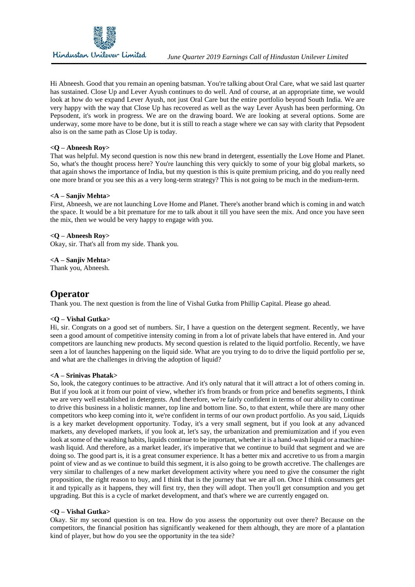

Hi Abneesh. Good that you remain an opening batsman. You're talking about Oral Care, what we said last quarter has sustained. Close Up and Lever Ayush continues to do well. And of course, at an appropriate time, we would look at how do we expand Lever Ayush, not just Oral Care but the entire portfolio beyond South India. We are very happy with the way that Close Up has recovered as well as the way Lever Ayush has been performing. On Pepsodent, it's work in progress. We are on the drawing board. We are looking at several options. Some are underway, some more have to be done, but it is still to reach a stage where we can say with clarity that Pepsodent also is on the same path as Close Up is today.

#### **<Q – Abneesh Roy>**

That was helpful. My second question is now this new brand in detergent, essentially the Love Home and Planet. So, what's the thought process here? You're launching this very quickly to some of your big global markets, so that again shows the importance of India, but my question is this is quite premium pricing, and do you really need one more brand or you see this as a very long-term strategy? This is not going to be much in the medium-term.

#### **<A – Sanjiv Mehta>**

First, Abneesh, we are not launching Love Home and Planet. There's another brand which is coming in and watch the space. It would be a bit premature for me to talk about it till you have seen the mix. And once you have seen the mix, then we would be very happy to engage with you.

#### **<Q – Abneesh Roy>**

Okay, sir. That's all from my side. Thank you.

**<A – Sanjiv Mehta>**

Thank you, Abneesh.

# **Operator**

Thank you. The next question is from the line of Vishal Gutka from Phillip Capital. Please go ahead.

### **<Q – Vishal Gutka>**

Hi, sir. Congrats on a good set of numbers. Sir, I have a question on the detergent segment. Recently, we have seen a good amount of competitive intensity coming in from a lot of private labels that have entered in. And your competitors are launching new products. My second question is related to the liquid portfolio. Recently, we have seen a lot of launches happening on the liquid side. What are you trying to do to drive the liquid portfolio per se, and what are the challenges in driving the adoption of liquid?

#### **<A – Srinivas Phatak>**

So, look, the category continues to be attractive. And it's only natural that it will attract a lot of others coming in. But if you look at it from our point of view, whether it's from brands or from price and benefits segments, I think we are very well established in detergents. And therefore, we're fairly confident in terms of our ability to continue to drive this business in a holistic manner, top line and bottom line. So, to that extent, while there are many other competitors who keep coming into it, we're confident in terms of our own product portfolio. As you said, Liquids is a key market development opportunity. Today, it's a very small segment, but if you look at any advanced markets, any developed markets, if you look at, let's say, the urbanization and premiumization and if you even look at some of the washing habits, liquids continue to be important, whether it is a hand-wash liquid or a machinewash liquid. And therefore, as a market leader, it's imperative that we continue to build that segment and we are doing so. The good part is, it is a great consumer experience. It has a better mix and accretive to us from a margin point of view and as we continue to build this segment, it is also going to be growth accretive. The challenges are very similar to challenges of a new market development activity where you need to give the consumer the right proposition, the right reason to buy, and I think that is the journey that we are all on. Once I think consumers get it and typically as it happens, they will first try, then they will adopt. Then you'll get consumption and you get upgrading. But this is a cycle of market development, and that's where we are currently engaged on.

#### **<Q – Vishal Gutka>**

Okay. Sir my second question is on tea. How do you assess the opportunity out over there? Because on the competitors, the financial position has significantly weakened for them although, they are more of a plantation kind of player, but how do you see the opportunity in the tea side?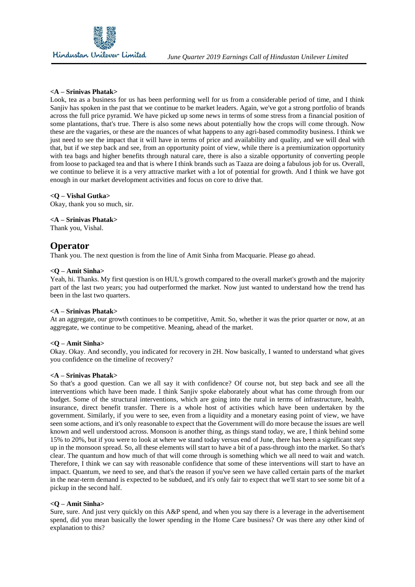

Look, tea as a business for us has been performing well for us from a considerable period of time, and I think Sanjiv has spoken in the past that we continue to be market leaders. Again, we've got a strong portfolio of brands across the full price pyramid. We have picked up some news in terms of some stress from a financial position of some plantations, that's true. There is also some news about potentially how the crops will come through. Now these are the vagaries, or these are the nuances of what happens to any agri-based commodity business. I think we just need to see the impact that it will have in terms of price and availability and quality, and we will deal with that, but if we step back and see, from an opportunity point of view, while there is a premiumization opportunity with tea bags and higher benefits through natural care, there is also a sizable opportunity of converting people from loose to packaged tea and that is where I think brands such as Taaza are doing a fabulous job for us. Overall, we continue to believe it is a very attractive market with a lot of potential for growth. And I think we have got enough in our market development activities and focus on core to drive that.

#### **<Q – Vishal Gutka>**

Okay, thank you so much, sir.

**<A – Srinivas Phatak>** Thank you, Vishal.

# **Operator**

Thank you. The next question is from the line of Amit Sinha from Macquarie. Please go ahead.

#### **<Q – Amit Sinha>**

Yeah, hi. Thanks. My first question is on HUL's growth compared to the overall market's growth and the majority part of the last two years; you had outperformed the market. Now just wanted to understand how the trend has been in the last two quarters.

#### **<A – Srinivas Phatak>**

At an aggregate, our growth continues to be competitive, Amit. So, whether it was the prior quarter or now, at an aggregate, we continue to be competitive. Meaning, ahead of the market.

#### **<Q – Amit Sinha>**

Okay. Okay. And secondly, you indicated for recovery in 2H. Now basically, I wanted to understand what gives you confidence on the timeline of recovery?

#### **<A – Srinivas Phatak>**

So that's a good question. Can we all say it with confidence? Of course not, but step back and see all the interventions which have been made. I think Sanjiv spoke elaborately about what has come through from our budget. Some of the structural interventions, which are going into the rural in terms of infrastructure, health, insurance, direct benefit transfer. There is a whole host of activities which have been undertaken by the government. Similarly, if you were to see, even from a liquidity and a monetary easing point of view, we have seen some actions, and it's only reasonable to expect that the Government will do more because the issues are well known and well understood across. Monsoon is another thing, as things stand today, we are, I think behind some 15% to 20%, but if you were to look at where we stand today versus end of June, there has been a significant step up in the monsoon spread. So, all these elements will start to have a bit of a pass-through into the market. So that's clear. The quantum and how much of that will come through is something which we all need to wait and watch. Therefore, I think we can say with reasonable confidence that some of these interventions will start to have an impact. Quantum, we need to see, and that's the reason if you've seen we have called certain parts of the market in the near-term demand is expected to be subdued, and it's only fair to expect that we'll start to see some bit of a pickup in the second half.

#### **<Q – Amit Sinha>**

Sure, sure. And just very quickly on this A&P spend, and when you say there is a leverage in the advertisement spend, did you mean basically the lower spending in the Home Care business? Or was there any other kind of explanation to this?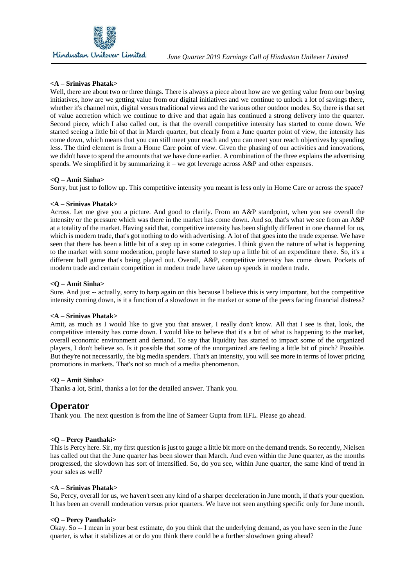

Well, there are about two or three things. There is always a piece about how are we getting value from our buying initiatives, how are we getting value from our digital initiatives and we continue to unlock a lot of savings there, whether it's channel mix, digital versus traditional views and the various other outdoor modes. So, there is that set of value accretion which we continue to drive and that again has continued a strong delivery into the quarter. Second piece, which I also called out, is that the overall competitive intensity has started to come down. We started seeing a little bit of that in March quarter, but clearly from a June quarter point of view, the intensity has come down, which means that you can still meet your reach and you can meet your reach objectives by spending less. The third element is from a Home Care point of view. Given the phasing of our activities and innovations, we didn't have to spend the amounts that we have done earlier. A combination of the three explains the advertising spends. We simplified it by summarizing it – we got leverage across  $A\&P$  and other expenses.

#### **<Q – Amit Sinha>**

Sorry, but just to follow up. This competitive intensity you meant is less only in Home Care or across the space?

#### **<A – Srinivas Phatak>**

Across. Let me give you a picture. And good to clarify. From an A&P standpoint, when you see overall the intensity or the pressure which was there in the market has come down. And so, that's what we see from an A&P at a totality of the market. Having said that, competitive intensity has been slightly different in one channel for us, which is modern trade, that's got nothing to do with advertising. A lot of that goes into the trade expense. We have seen that there has been a little bit of a step up in some categories. I think given the nature of what is happening to the market with some moderation, people have started to step up a little bit of an expenditure there. So, it's a different ball game that's being played out. Overall, A&P, competitive intensity has come down. Pockets of modern trade and certain competition in modern trade have taken up spends in modern trade.

#### **<Q – Amit Sinha>**

Sure. And just -- actually, sorry to harp again on this because I believe this is very important, but the competitive intensity coming down, is it a function of a slowdown in the market or some of the peers facing financial distress?

#### **<A – Srinivas Phatak>**

Amit, as much as I would like to give you that answer, I really don't know. All that I see is that, look, the competitive intensity has come down. I would like to believe that it's a bit of what is happening to the market, overall economic environment and demand. To say that liquidity has started to impact some of the organized players, I don't believe so. Is it possible that some of the unorganized are feeling a little bit of pinch? Possible. But they're not necessarily, the big media spenders. That's an intensity, you will see more in terms of lower pricing promotions in markets. That's not so much of a media phenomenon.

#### **<Q – Amit Sinha>**

Thanks a lot, Srini, thanks a lot for the detailed answer. Thank you.

# **Operator**

Thank you. The next question is from the line of Sameer Gupta from IIFL. Please go ahead.

#### **<Q – Percy Panthaki>**

This is Percy here. Sir, my first question is just to gauge a little bit more on the demand trends. So recently, Nielsen has called out that the June quarter has been slower than March. And even within the June quarter, as the months progressed, the slowdown has sort of intensified. So, do you see, within June quarter, the same kind of trend in your sales as well?

#### **<A – Srinivas Phatak>**

So, Percy, overall for us, we haven't seen any kind of a sharper deceleration in June month, if that's your question. It has been an overall moderation versus prior quarters. We have not seen anything specific only for June month.

#### **<Q – Percy Panthaki>**

Okay. So -- I mean in your best estimate, do you think that the underlying demand, as you have seen in the June quarter, is what it stabilizes at or do you think there could be a further slowdown going ahead?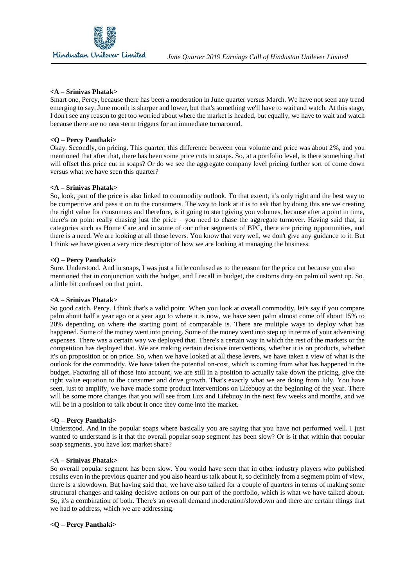

Smart one, Percy, because there has been a moderation in June quarter versus March. We have not seen any trend emerging to say, June month is sharper and lower, but that's something we'll have to wait and watch. At this stage, I don't see any reason to get too worried about where the market is headed, but equally, we have to wait and watch because there are no near-term triggers for an immediate turnaround.

#### **<Q – Percy Panthaki>**

Okay. Secondly, on pricing. This quarter, this difference between your volume and price was about 2%, and you mentioned that after that, there has been some price cuts in soaps. So, at a portfolio level, is there something that will offset this price cut in soaps? Or do we see the aggregate company level pricing further sort of come down versus what we have seen this quarter?

#### **<A – Srinivas Phatak>**

So, look, part of the price is also linked to commodity outlook. To that extent, it's only right and the best way to be competitive and pass it on to the consumers. The way to look at it is to ask that by doing this are we creating the right value for consumers and therefore, is it going to start giving you volumes, because after a point in time, there's no point really chasing just the price – you need to chase the aggregate turnover. Having said that, in categories such as Home Care and in some of our other segments of BPC, there are pricing opportunities, and there is a need. We are looking at all those levers. You know that very well, we don't give any guidance to it. But I think we have given a very nice descriptor of how we are looking at managing the business.

#### **<Q – Percy Panthaki>**

Sure. Understood. And in soaps, I was just a little confused as to the reason for the price cut because you also mentioned that in conjunction with the budget, and I recall in budget, the customs duty on palm oil went up. So, a little bit confused on that point.

#### **<A – Srinivas Phatak>**

So good catch, Percy. I think that's a valid point. When you look at overall commodity, let's say if you compare palm about half a year ago or a year ago to where it is now, we have seen palm almost come off about 15% to 20% depending on where the starting point of comparable is. There are multiple ways to deploy what has happened. Some of the money went into pricing. Some of the money went into step up in terms of your advertising expenses. There was a certain way we deployed that. There's a certain way in which the rest of the markets or the competition has deployed that. We are making certain decisive interventions, whether it is on products, whether it's on proposition or on price. So, when we have looked at all these levers, we have taken a view of what is the outlook for the commodity. We have taken the potential on-cost, which is coming from what has happened in the budget. Factoring all of those into account, we are still in a position to actually take down the pricing, give the right value equation to the consumer and drive growth. That's exactly what we are doing from July. You have seen, just to amplify, we have made some product interventions on Lifebuoy at the beginning of the year. There will be some more changes that you will see from Lux and Lifebuoy in the next few weeks and months, and we will be in a position to talk about it once they come into the market.

#### **<Q – Percy Panthaki>**

Understood. And in the popular soaps where basically you are saying that you have not performed well. I just wanted to understand is it that the overall popular soap segment has been slow? Or is it that within that popular soap segments, you have lost market share?

#### **<A – Srinivas Phatak>**

So overall popular segment has been slow. You would have seen that in other industry players who published results even in the previous quarter and you also heard us talk about it, so definitely from a segment point of view, there is a slowdown. But having said that, we have also talked for a couple of quarters in terms of making some structural changes and taking decisive actions on our part of the portfolio, which is what we have talked about. So, it's a combination of both. There's an overall demand moderation/slowdown and there are certain things that we had to address, which we are addressing.

### **<Q – Percy Panthaki>**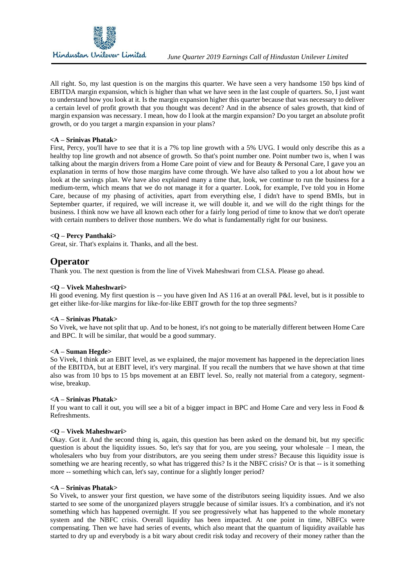

All right. So, my last question is on the margins this quarter. We have seen a very handsome 150 bps kind of EBITDA margin expansion, which is higher than what we have seen in the last couple of quarters. So, I just want to understand how you look at it. Is the margin expansion higher this quarter because that was necessary to deliver a certain level of profit growth that you thought was decent? And in the absence of sales growth, that kind of margin expansion was necessary. I mean, how do I look at the margin expansion? Do you target an absolute profit growth, or do you target a margin expansion in your plans?

#### **<A – Srinivas Phatak>**

First, Percy, you'll have to see that it is a 7% top line growth with a 5% UVG. I would only describe this as a healthy top line growth and not absence of growth. So that's point number one. Point number two is, when I was talking about the margin drivers from a Home Care point of view and for Beauty & Personal Care, I gave you an explanation in terms of how those margins have come through. We have also talked to you a lot about how we look at the savings plan. We have also explained many a time that, look, we continue to run the business for a medium-term, which means that we do not manage it for a quarter. Look, for example, I've told you in Home Care, because of my phasing of activities, apart from everything else, I didn't have to spend BMIs, but in September quarter, if required, we will increase it, we will double it, and we will do the right things for the business. I think now we have all known each other for a fairly long period of time to know that we don't operate with certain numbers to deliver those numbers. We do what is fundamentally right for our business.

#### **<Q – Percy Panthaki>**

Great, sir. That's explains it. Thanks, and all the best.

# **Operator**

Thank you. The next question is from the line of Vivek Maheshwari from CLSA. Please go ahead.

#### **<Q – Vivek Maheshwari>**

Hi good evening. My first question is -- you have given Ind AS 116 at an overall P&L level, but is it possible to get either like-for-like margins for like-for-like EBIT growth for the top three segments?

### **<A – Srinivas Phatak>**

So Vivek, we have not split that up. And to be honest, it's not going to be materially different between Home Care and BPC. It will be similar, that would be a good summary.

#### **<A – Suman Hegde>**

So Vivek, I think at an EBIT level, as we explained, the major movement has happened in the depreciation lines of the EBITDA, but at EBIT level, it's very marginal. If you recall the numbers that we have shown at that time also was from 10 bps to 15 bps movement at an EBIT level. So, really not material from a category, segmentwise, breakup.

#### **<A – Srinivas Phatak>**

If you want to call it out, you will see a bit of a bigger impact in BPC and Home Care and very less in Food & Refreshments.

#### **<Q – Vivek Maheshwari>**

Okay. Got it. And the second thing is, again, this question has been asked on the demand bit, but my specific question is about the liquidity issues. So, let's say that for you, are you seeing, your wholesale  $- I$  mean, the wholesalers who buy from your distributors, are you seeing them under stress? Because this liquidity issue is something we are hearing recently, so what has triggered this? Is it the NBFC crisis? Or is that -- is it something more -- something which can, let's say, continue for a slightly longer period?

#### **<A – Srinivas Phatak>**

So Vivek, to answer your first question, we have some of the distributors seeing liquidity issues. And we also started to see some of the unorganized players struggle because of similar issues. It's a combination, and it's not something which has happened overnight. If you see progressively what has happened to the whole monetary system and the NBFC crisis. Overall liquidity has been impacted. At one point in time, NBFCs were compensating. Then we have had series of events, which also meant that the quantum of liquidity available has started to dry up and everybody is a bit wary about credit risk today and recovery of their money rather than the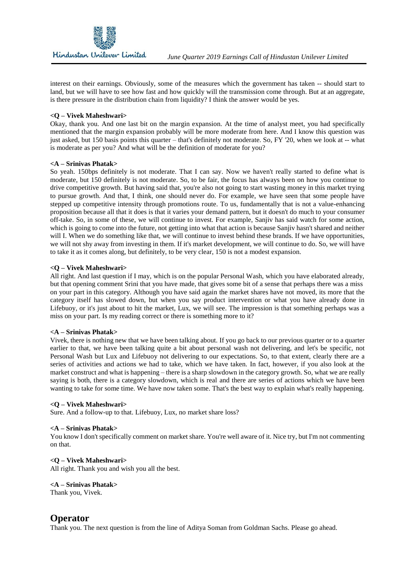interest on their earnings. Obviously, some of the measures which the government has taken -- should start to land, but we will have to see how fast and how quickly will the transmission come through. But at an aggregate, is there pressure in the distribution chain from liquidity? I think the answer would be yes.

#### **<Q – Vivek Maheshwari>**

Okay, thank you. And one last bit on the margin expansion. At the time of analyst meet, you had specifically mentioned that the margin expansion probably will be more moderate from here. And I know this question was just asked, but 150 basis points this quarter – that's definitely not moderate. So, FY '20, when we look at -- what is moderate as per you? And what will be the definition of moderate for you?

#### **<A – Srinivas Phatak>**

So yeah. 150bps definitely is not moderate. That I can say. Now we haven't really started to define what is moderate, but 150 definitely is not moderate. So, to be fair, the focus has always been on how you continue to drive competitive growth. But having said that, you're also not going to start wasting money in this market trying to pursue growth. And that, I think, one should never do. For example, we have seen that some people have stepped up competitive intensity through promotions route. To us, fundamentally that is not a value-enhancing proposition because all that it does is that it varies your demand pattern, but it doesn't do much to your consumer off-take. So, in some of these, we will continue to invest. For example, Sanjiv has said watch for some action, which is going to come into the future, not getting into what that action is because Sanjiv hasn't shared and neither will I. When we do something like that, we will continue to invest behind these brands. If we have opportunities, we will not shy away from investing in them. If it's market development, we will continue to do. So, we will have to take it as it comes along, but definitely, to be very clear, 150 is not a modest expansion.

#### **<Q – Vivek Maheshwari>**

All right. And last question if I may, which is on the popular Personal Wash, which you have elaborated already, but that opening comment Srini that you have made, that gives some bit of a sense that perhaps there was a miss on your part in this category. Although you have said again the market shares have not moved, its more that the category itself has slowed down, but when you say product intervention or what you have already done in Lifebuoy, or it's just about to hit the market, Lux, we will see. The impression is that something perhaps was a miss on your part. Is my reading correct or there is something more to it?

#### **<A – Srinivas Phatak>**

Vivek, there is nothing new that we have been talking about. If you go back to our previous quarter or to a quarter earlier to that, we have been talking quite a bit about personal wash not delivering, and let's be specific, not Personal Wash but Lux and Lifebuoy not delivering to our expectations. So, to that extent, clearly there are a series of activities and actions we had to take, which we have taken. In fact, however, if you also look at the market construct and what is happening – there is a sharp slowdown in the category growth. So, what we are really saying is both, there is a category slowdown, which is real and there are series of actions which we have been wanting to take for some time. We have now taken some. That's the best way to explain what's really happening.

#### **<Q – Vivek Maheshwari>**

Sure. And a follow-up to that. Lifebuoy, Lux, no market share loss?

#### **<A – Srinivas Phatak>**

You know I don't specifically comment on market share. You're well aware of it. Nice try, but I'm not commenting on that.

#### **<Q – Vivek Maheshwari>**

All right. Thank you and wish you all the best.

#### **<A – Srinivas Phatak>**

Thank you, Vivek.

# **Operator**

Thank you. The next question is from the line of Aditya Soman from Goldman Sachs. Please go ahead.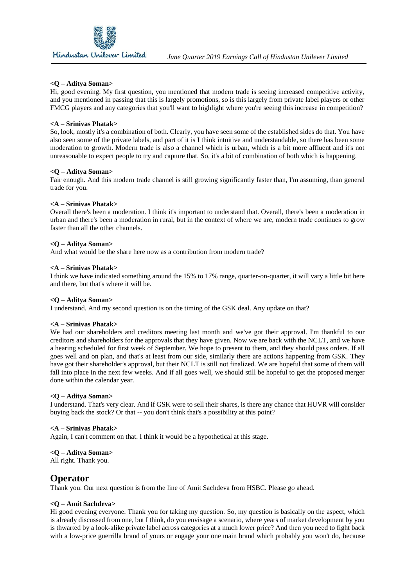

#### **<Q – Aditya Soman>**

Hi, good evening. My first question, you mentioned that modern trade is seeing increased competitive activity, and you mentioned in passing that this is largely promotions, so is this largely from private label players or other FMCG players and any categories that you'll want to highlight where you're seeing this increase in competition?

#### **<A – Srinivas Phatak>**

So, look, mostly it's a combination of both. Clearly, you have seen some of the established sides do that. You have also seen some of the private labels, and part of it is I think intuitive and understandable, so there has been some moderation to growth. Modern trade is also a channel which is urban, which is a bit more affluent and it's not unreasonable to expect people to try and capture that. So, it's a bit of combination of both which is happening.

#### **<Q – Aditya Soman>**

Fair enough. And this modern trade channel is still growing significantly faster than, I'm assuming, than general trade for you.

#### **<A – Srinivas Phatak>**

Overall there's been a moderation. I think it's important to understand that. Overall, there's been a moderation in urban and there's been a moderation in rural, but in the context of where we are, modern trade continues to grow faster than all the other channels.

#### **<Q – Aditya Soman>**

And what would be the share here now as a contribution from modern trade?

#### **<A – Srinivas Phatak>**

I think we have indicated something around the 15% to 17% range, quarter-on-quarter, it will vary a little bit here and there, but that's where it will be.

#### **<Q – Aditya Soman>**

I understand. And my second question is on the timing of the GSK deal. Any update on that?

#### **<A – Srinivas Phatak>**

We had our shareholders and creditors meeting last month and we've got their approval. I'm thankful to our creditors and shareholders for the approvals that they have given. Now we are back with the NCLT, and we have a hearing scheduled for first week of September. We hope to present to them, and they should pass orders. If all goes well and on plan, and that's at least from our side, similarly there are actions happening from GSK. They have got their shareholder's approval, but their NCLT is still not finalized. We are hopeful that some of them will fall into place in the next few weeks. And if all goes well, we should still be hopeful to get the proposed merger done within the calendar year.

#### **<Q – Aditya Soman>**

I understand. That's very clear. And if GSK were to sell their shares, is there any chance that HUVR will consider buying back the stock? Or that -- you don't think that's a possibility at this point?

#### **<A – Srinivas Phatak>**

Again, I can't comment on that. I think it would be a hypothetical at this stage.

#### **<Q – Aditya Soman>**

All right. Thank you.

# **Operator**

Thank you. Our next question is from the line of Amit Sachdeva from HSBC. Please go ahead.

#### **<Q – Amit Sachdeva>**

Hi good evening everyone. Thank you for taking my question. So, my question is basically on the aspect, which is already discussed from one, but I think, do you envisage a scenario, where years of market development by you is thwarted by a look-alike private label across categories at a much lower price? And then you need to fight back with a low-price guerrilla brand of yours or engage your one main brand which probably you won't do, because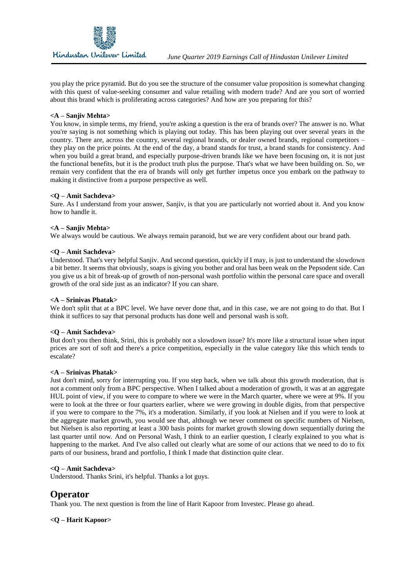

you play the price pyramid. But do you see the structure of the consumer value proposition is somewhat changing with this quest of value-seeking consumer and value retailing with modern trade? And are you sort of worried about this brand which is proliferating across categories? And how are you preparing for this?

#### **<A – Sanjiv Mehta>**

You know, in simple terms, my friend, you're asking a question is the era of brands over? The answer is no. What you're saying is not something which is playing out today. This has been playing out over several years in the country. There are, across the country, several regional brands, or dealer owned brands, regional competitors – they play on the price points. At the end of the day, a brand stands for trust, a brand stands for consistency. And when you build a great brand, and especially purpose-driven brands like we have been focusing on, it is not just the functional benefits, but it is the product truth plus the purpose. That's what we have been building on. So, we remain very confident that the era of brands will only get further impetus once you embark on the pathway to making it distinctive from a purpose perspective as well.

#### **<Q – Amit Sachdeva>**

Sure. As I understand from your answer, Sanjiv, is that you are particularly not worried about it. And you know how to handle it.

#### **<A – Sanjiv Mehta>**

We always would be cautious. We always remain paranoid, but we are very confident about our brand path.

#### **<Q – Amit Sachdeva>**

Understood. That's very helpful Sanjiv. And second question, quickly if I may, is just to understand the slowdown a bit better. It seems that obviously, soaps is giving you bother and oral has been weak on the Pepsodent side. Can you give us a bit of break-up of growth of non-personal wash portfolio within the personal care space and overall growth of the oral side just as an indicator? If you can share.

#### **<A – Srinivas Phatak>**

We don't split that at a BPC level. We have never done that, and in this case, we are not going to do that. But I think it suffices to say that personal products has done well and personal wash is soft.

#### **<Q – Amit Sachdeva>**

But don't you then think, Srini, this is probably not a slowdown issue? It's more like a structural issue when input prices are sort of soft and there's a price competition, especially in the value category like this which tends to escalate?

#### **<A – Srinivas Phatak>**

Just don't mind, sorry for interrupting you. If you step back, when we talk about this growth moderation, that is not a comment only from a BPC perspective. When I talked about a moderation of growth, it was at an aggregate HUL point of view, if you were to compare to where we were in the March quarter, where we were at 9%. If you were to look at the three or four quarters earlier, where we were growing in double digits, from that perspective if you were to compare to the 7%, it's a moderation. Similarly, if you look at Nielsen and if you were to look at the aggregate market growth, you would see that, although we never comment on specific numbers of Nielsen, but Nielsen is also reporting at least a 300 basis points for market growth slowing down sequentially during the last quarter until now. And on Personal Wash, I think to an earlier question, I clearly explained to you what is happening to the market. And I've also called out clearly what are some of our actions that we need to do to fix parts of our business, brand and portfolio, I think I made that distinction quite clear.

#### **<Q – Amit Sachdeva>**

Understood. Thanks Srini, it's helpful. Thanks a lot guys.

# **Operator**

Thank you. The next question is from the line of Harit Kapoor from Investec. Please go ahead.

#### **<Q – Harit Kapoor>**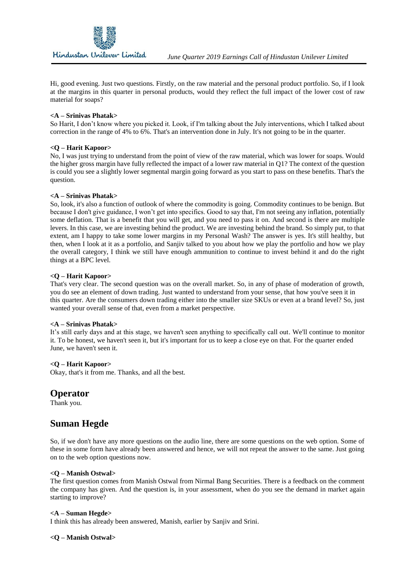

Hi, good evening. Just two questions. Firstly, on the raw material and the personal product portfolio. So, if I look at the margins in this quarter in personal products, would they reflect the full impact of the lower cost of raw material for soaps?

#### **<A – Srinivas Phatak>**

So Harit, I don't know where you picked it. Look, if I'm talking about the July interventions, which I talked about correction in the range of 4% to 6%. That's an intervention done in July. It's not going to be in the quarter.

#### **<Q – Harit Kapoor>**

No, I was just trying to understand from the point of view of the raw material, which was lower for soaps. Would the higher gross margin have fully reflected the impact of a lower raw material in Q1? The context of the question is could you see a slightly lower segmental margin going forward as you start to pass on these benefits. That's the question.

#### **<A – Srinivas Phatak>**

So, look, it's also a function of outlook of where the commodity is going. Commodity continues to be benign. But because I don't give guidance, I won't get into specifics. Good to say that, I'm not seeing any inflation, potentially some deflation. That is a benefit that you will get, and you need to pass it on. And second is there are multiple levers. In this case, we are investing behind the product. We are investing behind the brand. So simply put, to that extent, am I happy to take some lower margins in my Personal Wash? The answer is yes. It's still healthy, but then, when I look at it as a portfolio, and Sanjiv talked to you about how we play the portfolio and how we play the overall category, I think we still have enough ammunition to continue to invest behind it and do the right things at a BPC level.

#### **<Q – Harit Kapoor>**

That's very clear. The second question was on the overall market. So, in any of phase of moderation of growth, you do see an element of down trading. Just wanted to understand from your sense, that how you've seen it in this quarter. Are the consumers down trading either into the smaller size SKUs or even at a brand level? So, just wanted your overall sense of that, even from a market perspective.

#### **<A – Srinivas Phatak>**

It's still early days and at this stage, we haven't seen anything to specifically call out. We'll continue to monitor it. To be honest, we haven't seen it, but it's important for us to keep a close eye on that. For the quarter ended June, we haven't seen it.

#### **<Q – Harit Kapoor>**

Okay, that's it from me. Thanks, and all the best.

### **Operator**

Thank you.

# **Suman Hegde**

So, if we don't have any more questions on the audio line, there are some questions on the web option. Some of these in some form have already been answered and hence, we will not repeat the answer to the same. Just going on to the web option questions now.

#### **<Q – Manish Ostwal>**

The first question comes from Manish Ostwal from Nirmal Bang Securities. There is a feedback on the comment the company has given. And the question is, in your assessment, when do you see the demand in market again starting to improve?

#### **<A – Suman Hegde>**

I think this has already been answered, Manish, earlier by Sanjiv and Srini.

#### **<Q – Manish Ostwal>**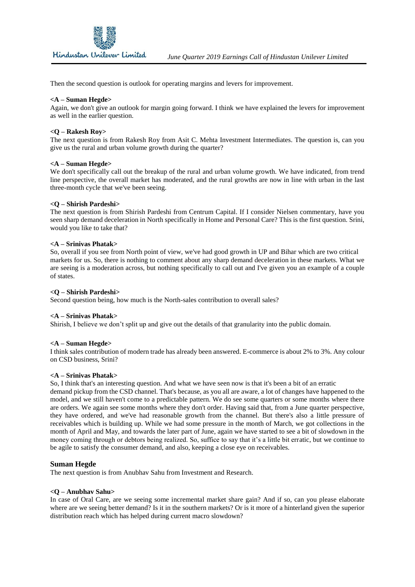

Then the second question is outlook for operating margins and levers for improvement.

#### **<A – Suman Hegde>**

Again, we don't give an outlook for margin going forward. I think we have explained the levers for improvement as well in the earlier question.

#### **<Q – Rakesh Roy>**

The next question is from Rakesh Roy from Asit C. Mehta Investment Intermediates. The question is, can you give us the rural and urban volume growth during the quarter?

#### **<A – Suman Hegde>**

We don't specifically call out the breakup of the rural and urban volume growth. We have indicated, from trend line perspective, the overall market has moderated, and the rural growths are now in line with urban in the last three-month cycle that we've been seeing.

#### **<Q – Shirish Pardeshi>**

The next question is from Shirish Pardeshi from Centrum Capital. If I consider Nielsen commentary, have you seen sharp demand deceleration in North specifically in Home and Personal Care? This is the first question. Srini, would you like to take that?

#### **<A – Srinivas Phatak>**

So, overall if you see from North point of view, we've had good growth in UP and Bihar which are two critical markets for us. So, there is nothing to comment about any sharp demand deceleration in these markets. What we are seeing is a moderation across, but nothing specifically to call out and I've given you an example of a couple of states.

#### **<Q – Shirish Pardeshi>**

Second question being, how much is the North-sales contribution to overall sales?

#### **<A – Srinivas Phatak>**

Shirish, I believe we don't split up and give out the details of that granularity into the public domain.

#### **<A – Suman Hegde>**

I think sales contribution of modern trade has already been answered. E-commerce is about 2% to 3%. Any colour on CSD business, Srini?

#### **<A – Srinivas Phatak>**

So, I think that's an interesting question. And what we have seen now is that it's been a bit of an erratic demand pickup from the CSD channel. That's because, as you all are aware, a lot of changes have happened to the model, and we still haven't come to a predictable pattern. We do see some quarters or some months where there are orders. We again see some months where they don't order. Having said that, from a June quarter perspective, they have ordered, and we've had reasonable growth from the channel. But there's also a little pressure of receivables which is building up. While we had some pressure in the month of March, we got collections in the month of April and May, and towards the later part of June, again we have started to see a bit of slowdown in the money coming through or debtors being realized. So, suffice to say that it's a little bit erratic, but we continue to be agile to satisfy the consumer demand, and also, keeping a close eye on receivables.

#### **Suman Hegde**

The next question is from Anubhav Sahu from Investment and Research.

#### **<Q – Anubhav Sahu>**

In case of Oral Care, are we seeing some incremental market share gain? And if so, can you please elaborate where are we seeing better demand? Is it in the southern markets? Or is it more of a hinterland given the superior distribution reach which has helped during current macro slowdown?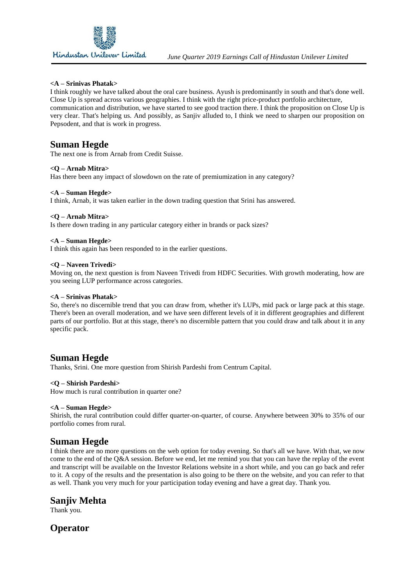

I think roughly we have talked about the oral care business. Ayush is predominantly in south and that's done well. Close Up is spread across various geographies. I think with the right price-product portfolio architecture, communication and distribution, we have started to see good traction there. I think the proposition on Close Up is very clear. That's helping us. And possibly, as Sanjiv alluded to, I think we need to sharpen our proposition on Pepsodent, and that is work in progress.

# **Suman Hegde**

The next one is from Arnab from Credit Suisse.

#### **<Q – Arnab Mitra>**

Has there been any impact of slowdown on the rate of premiumization in any category?

#### **<A – Suman Hegde>**

I think, Arnab, it was taken earlier in the down trading question that Srini has answered.

#### **<Q – Arnab Mitra>**

Is there down trading in any particular category either in brands or pack sizes?

#### **<A – Suman Hegde>**

I think this again has been responded to in the earlier questions.

#### **<Q – Naveen Trivedi>**

Moving on, the next question is from Naveen Trivedi from HDFC Securities. With growth moderating, how are you seeing LUP performance across categories.

#### **<A – Srinivas Phatak>**

So, there's no discernible trend that you can draw from, whether it's LUPs, mid pack or large pack at this stage. There's been an overall moderation, and we have seen different levels of it in different geographies and different parts of our portfolio. But at this stage, there's no discernible pattern that you could draw and talk about it in any specific pack.

# **Suman Hegde**

Thanks, Srini. One more question from Shirish Pardeshi from Centrum Capital.

#### **<Q – Shirish Pardeshi>**

How much is rural contribution in quarter one?

#### **<A – Suman Hegde>**

Shirish, the rural contribution could differ quarter-on-quarter, of course. Anywhere between 30% to 35% of our portfolio comes from rural.

# **Suman Hegde**

I think there are no more questions on the web option for today evening. So that's all we have. With that, we now come to the end of the Q&A session. Before we end, let me remind you that you can have the replay of the event and transcript will be available on the Investor Relations website in a short while, and you can go back and refer to it. A copy of the results and the presentation is also going to be there on the website, and you can refer to that as well. Thank you very much for your participation today evening and have a great day. Thank you.

# **Sanjiv Mehta**

Thank you.

# **Operator**